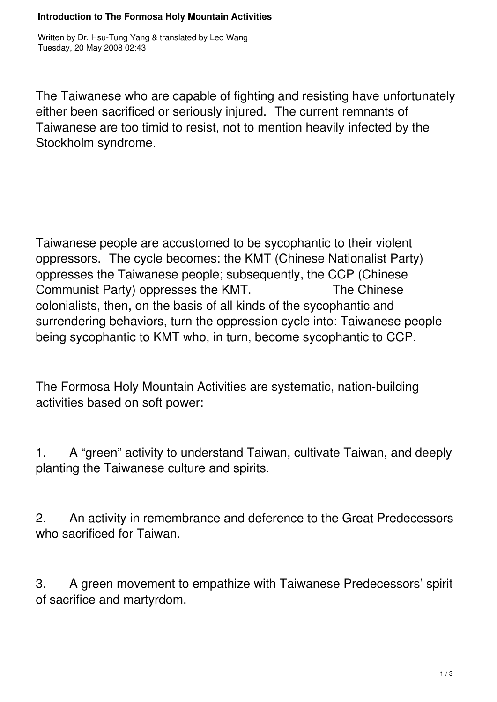## **Introduction to The Formosa Holy Mountain Activities**

Written by Dr. Hsu-Tung Yang & translated by Leo Wang Tuesday, 20 May 2008 02:43

The Taiwanese who are capable of fighting and resisting have unfortunately either been sacrificed or seriously injured. The current remnants of Taiwanese are too timid to resist, not to mention heavily infected by the Stockholm syndrome.

Taiwanese people are accustomed to be sycophantic to their violent oppressors. The cycle becomes: the KMT (Chinese Nationalist Party) oppresses the Taiwanese people; subsequently, the CCP (Chinese Communist Party) oppresses the KMT. The Chinese colonialists, then, on the basis of all kinds of the sycophantic and surrendering behaviors, turn the oppression cycle into: Taiwanese people being sycophantic to KMT who, in turn, become sycophantic to CCP.

The Formosa Holy Mountain Activities are systematic, nation-building activities based on soft power:

1. A "green" activity to understand Taiwan, cultivate Taiwan, and deeply planting the Taiwanese culture and spirits.

2. An activity in remembrance and deference to the Great Predecessors who sacrificed for Taiwan.

3. A green movement to empathize with Taiwanese Predecessors' spirit of sacrifice and martyrdom.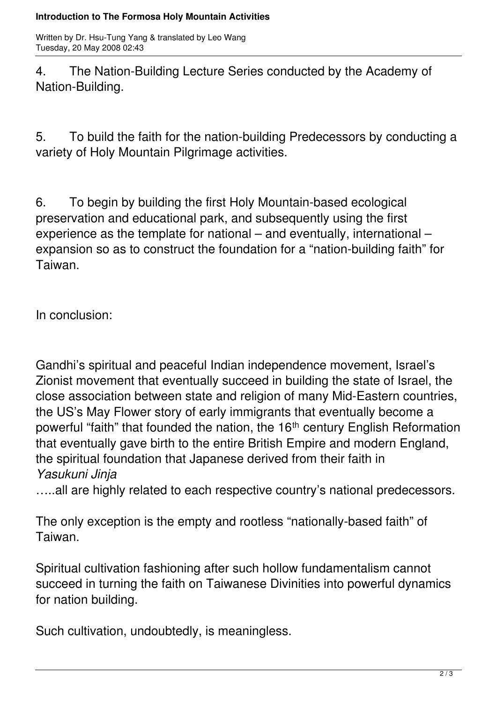## **Introduction to The Formosa Holy Mountain Activities**

Written by Dr. Hsu-Tung Yang & translated by Leo Wang Tuesday, 20 May 2008 02:43

4. The Nation-Building Lecture Series conducted by the Academy of Nation-Building.

5. To build the faith for the nation-building Predecessors by conducting a variety of Holy Mountain Pilgrimage activities.

6. To begin by building the first Holy Mountain-based ecological preservation and educational park, and subsequently using the first experience as the template for national – and eventually, international – expansion so as to construct the foundation for a "nation-building faith" for Taiwan.

In conclusion:

Gandhi's spiritual and peaceful Indian independence movement, Israel's Zionist movement that eventually succeed in building the state of Israel, the close association between state and religion of many Mid-Eastern countries, the US's May Flower story of early immigrants that eventually become a powerful "faith" that founded the nation, the 16<sup>th</sup> century English Reformation that eventually gave birth to the entire British Empire and modern England, the spiritual foundation that Japanese derived from their faith in *Yasukuni Jinja*

.....all are highly related to each respective country's national predecessors.

The only exception is the empty and rootless "nationally-based faith" of Taiwan.

Spiritual cultivation fashioning after such hollow fundamentalism cannot succeed in turning the faith on Taiwanese Divinities into powerful dynamics for nation building.

Such cultivation, undoubtedly, is meaningless.